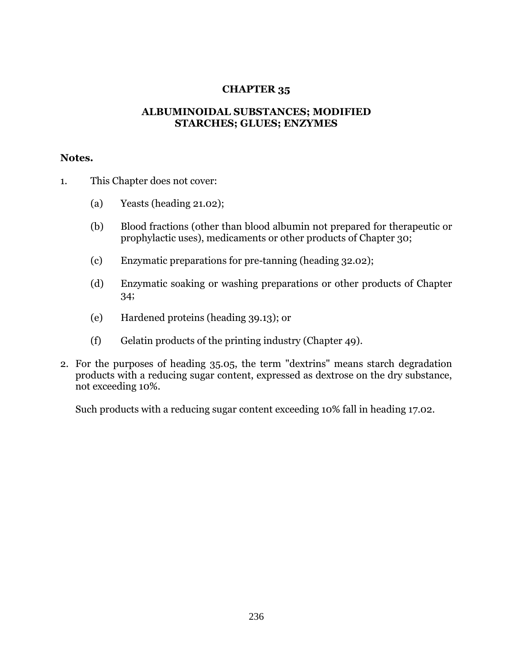## **CHAPTER 35**

## **ALBUMINOIDAL SUBSTANCES; MODIFIED STARCHES; GLUES; ENZYMES**

## **Notes.**

- 1. This Chapter does not cover:
	- (a) Yeasts (heading 21.02);
	- (b) Blood fractions (other than blood albumin not prepared for therapeutic or prophylactic uses), medicaments or other products of Chapter 30;
	- (c) Enzymatic preparations for pre-tanning (heading 32.02);
	- (d) Enzymatic soaking or washing preparations or other products of Chapter 34;
	- (e) Hardened proteins (heading 39.13); or
	- (f) Gelatin products of the printing industry (Chapter 49).
- 2. For the purposes of heading 35.05, the term "dextrins" means starch degradation products with a reducing sugar content, expressed as dextrose on the dry substance, not exceeding 10%.

Such products with a reducing sugar content exceeding 10% fall in heading 17.02.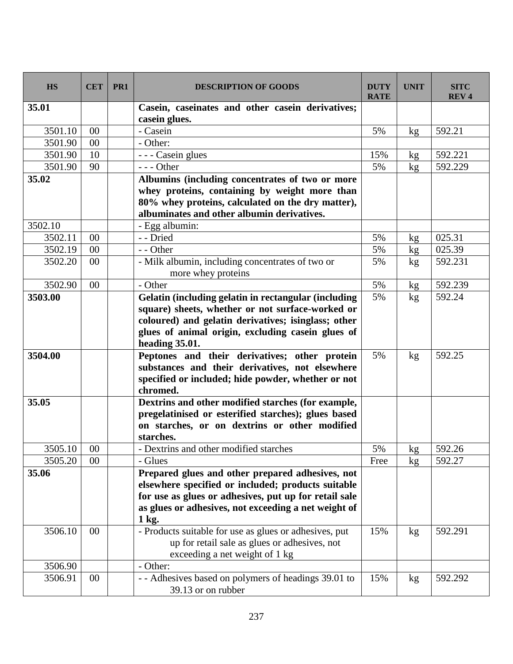| <b>HS</b> | <b>CET</b> | PR <sub>1</sub> | <b>DESCRIPTION OF GOODS</b>                                            | <b>DUTY</b><br><b>RATE</b> | <b>UNIT</b>   | <b>SITC</b><br><b>REV4</b> |
|-----------|------------|-----------------|------------------------------------------------------------------------|----------------------------|---------------|----------------------------|
| 35.01     |            |                 | Casein, caseinates and other casein derivatives;<br>casein glues.      |                            |               |                            |
| 3501.10   | 00         |                 | - Casein                                                               | 5%                         | kg            | 592.21                     |
| 3501.90   | 00         |                 | - Other:                                                               |                            |               |                            |
| 3501.90   | 10         |                 | - - - Casein glues                                                     | 15%                        | kg            | 592.221                    |
| 3501.90   | 90         |                 | --- Other                                                              | 5%                         | kg            | 592.229                    |
| 35.02     |            |                 | Albumins (including concentrates of two or more                        |                            |               |                            |
|           |            |                 | whey proteins, containing by weight more than                          |                            |               |                            |
|           |            |                 | 80% whey proteins, calculated on the dry matter),                      |                            |               |                            |
|           |            |                 | albuminates and other albumin derivatives.                             |                            |               |                            |
| 3502.10   |            |                 | - Egg albumin:                                                         |                            |               |                            |
| 3502.11   | 00         |                 | - - Dried                                                              | 5%                         | kg            | 025.31                     |
| 3502.19   | 00         |                 | - - Other                                                              | 5%                         | kg            | 025.39                     |
| 3502.20   | $00\,$     |                 | - Milk albumin, including concentrates of two or<br>more whey proteins | 5%                         | kg            | 592.231                    |
| 3502.90   | $00\,$     |                 | - Other                                                                | 5%                         | kg            | 592.239                    |
| 3503.00   |            |                 | Gelatin (including gelatin in rectangular (including                   | 5%                         | kg            | 592.24                     |
|           |            |                 | square) sheets, whether or not surface-worked or                       |                            |               |                            |
|           |            |                 | coloured) and gelatin derivatives; isinglass; other                    |                            |               |                            |
|           |            |                 | glues of animal origin, excluding casein glues of                      |                            |               |                            |
|           |            |                 | heading 35.01.                                                         |                            |               |                            |
| 3504.00   |            |                 | Peptones and their derivatives; other protein                          | 5%                         | kg            | 592.25                     |
|           |            |                 | substances and their derivatives, not elsewhere                        |                            |               |                            |
|           |            |                 | specified or included; hide powder, whether or not                     |                            |               |                            |
|           |            |                 | chromed.                                                               |                            |               |                            |
| 35.05     |            |                 | Dextrins and other modified starches (for example,                     |                            |               |                            |
|           |            |                 | pregelatinised or esterified starches); glues based                    |                            |               |                            |
|           |            |                 | on starches, or on dextrins or other modified                          |                            |               |                            |
|           |            |                 | starches.                                                              |                            |               |                            |
| 3505.10   | $00\,$     |                 | Dextrins and other modified starches                                   | 5%                         | kg            | 592.26                     |
| 3505.20   | $00\,$     |                 | - Glues                                                                | Free                       | $\mathbf{kg}$ | 592.27                     |
| 35.06     |            |                 | Prepared glues and other prepared adhesives, not                       |                            |               |                            |
|           |            |                 | elsewhere specified or included; products suitable                     |                            |               |                            |
|           |            |                 | for use as glues or adhesives, put up for retail sale                  |                            |               |                            |
|           |            |                 | as glues or adhesives, not exceeding a net weight of                   |                            |               |                            |
|           |            |                 | 1 kg.                                                                  |                            |               |                            |
| 3506.10   | 00         |                 | - Products suitable for use as glues or adhesives, put                 | 15%                        | kg            | 592.291                    |
|           |            |                 | up for retail sale as glues or adhesives, not                          |                            |               |                            |
|           |            |                 | exceeding a net weight of 1 kg                                         |                            |               |                            |
| 3506.90   |            |                 | - Other:                                                               |                            |               |                            |
| 3506.91   | $00\,$     |                 | - - Adhesives based on polymers of headings 39.01 to                   | 15%                        | kg            | 592.292                    |
|           |            |                 | 39.13 or on rubber                                                     |                            |               |                            |